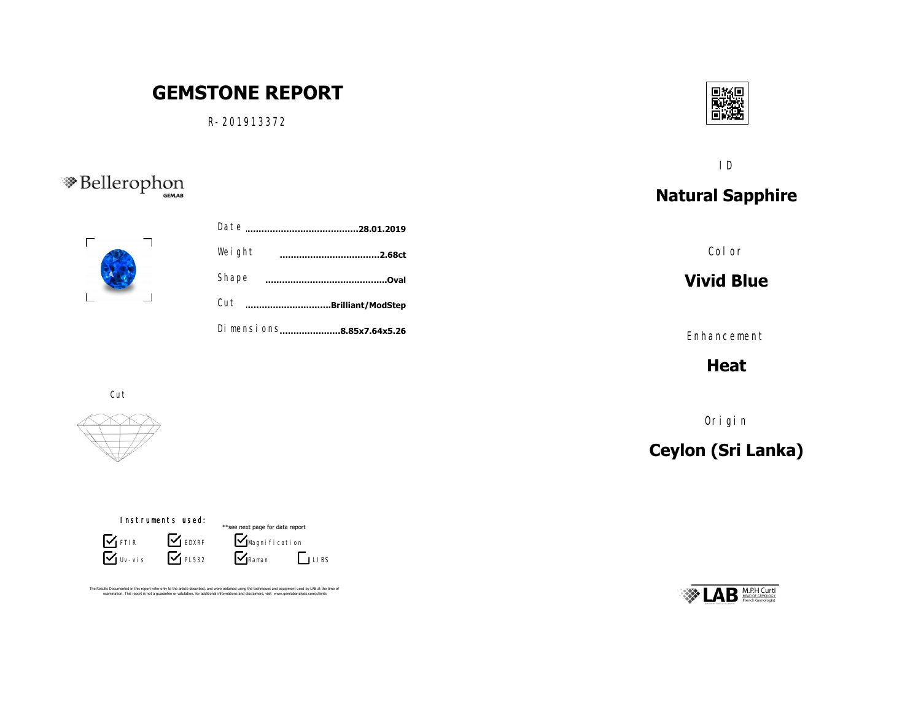## **GEMSTONE REPORT**

R-201913372





|  | Weight | .2.68ct                    |
|--|--------|----------------------------|
|  | Shape  | .Oval                      |
|  | Cut    | Brilliant/ModStep          |
|  |        | Di mensi ons8.85x7.64x5.26 |

Cut



#### Instruments used:

 $\sum$  Uv-vis **S** FTIR **S** EDXRF  $\mathbf{V}$  PL532



The Results Documented in this report refer only to the article described, and were obtained using the techniques and equipment used by LAB at the time of<br>examination. This report is not a quarantee or valutation. for addi



ID

## **Natural Sapphire**

Color

### **Vivid Blue**

Enhancement

**Heat**

Origin

# **Ceylon (Sri Lanka)**